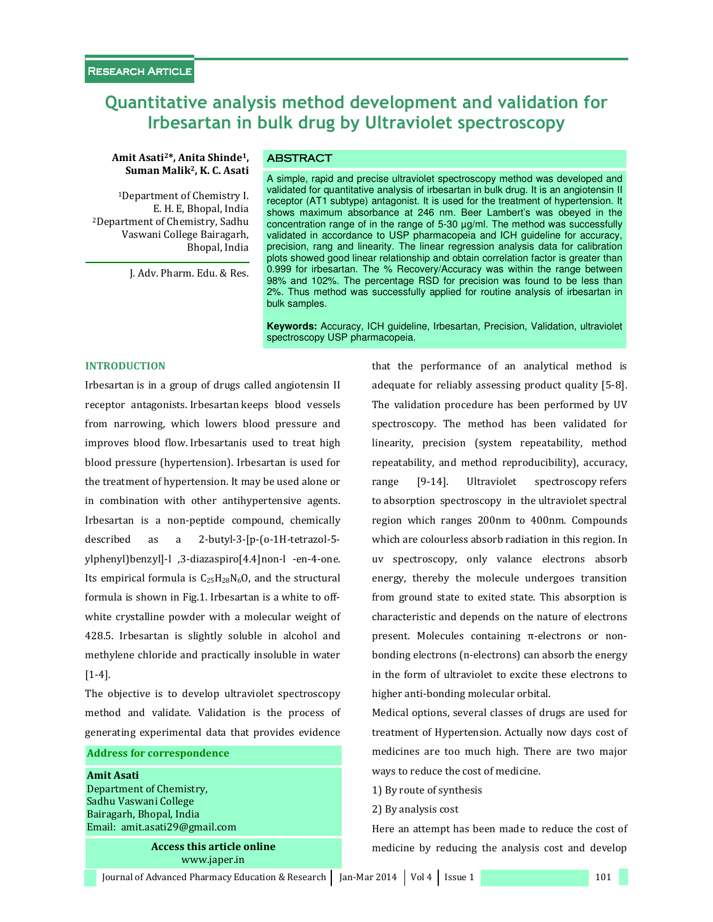# Quantitative analysis method development and validation for Irbesartan in bulk drug by Ultraviolet spectroscopy

### Amit Asati<sup>2\*</sup>, Anita Shinde<sup>1</sup>, **ABSTRACT** Suman Malik2, K. C. Asati

<sup>1</sup>Department of Chemistry I. E. H. E, Bhopal, India <sup>2</sup>Department of Chemistry, Sadhu Vaswani College Bairagarh, Bhopal, India

J. Adv. Pharm. Edu. & Res.

A simple, rapid and precise ultraviolet spectroscopy method was developed and validated for quantitative analysis of irbesartan in bulk drug. It is an angiotensin II receptor (AT1 subtype) antagonist. It is used for the treatment of hypertension. It shows maximum absorbance at 246 nm. Beer Lambert's was obeyed in the concentration range of in the range of 5-30 µg/ml. The method was successfully validated in accordance to USP pharmacopeia and ICH guideline for accuracy, precision, rang and linearity. The linear regression analysis data for calibration plots showed good linear relationship and obtain correlation factor is greater than 0.999 for irbesartan. The % Recovery/Accuracy was within the range between 98% and 102%. The percentage RSD for precision was found to be less than 2%. Thus method was successfully applied for routine analysis of irbesartan in bulk samples.

**Keywords:** Accuracy, ICH guideline, Irbesartan, Precision, Validation, ultraviolet spectroscopy USP pharmacopeia.

### INTRODUCTION

Irbesartan is in a group of drugs called angiotensin II receptor antagonists. Irbesartan keeps blood vessels from narrowing, which lowers blood pressure and improves blood flow. Irbesartanis used to treat high blood pressure (hypertension). Irbesartan is used for the treatment of hypertension. It may be used alone or in combination with other antihypertensive agents. Irbesartan is a non-peptide compound, chemically described as a 2-butyl-3-[p-(o-1H-tetrazol-5 ylphenyl)benzyl]-l ,3-diazaspiro[4.4]non-l -en-4-one. Its empirical formula is  $C_{25}H_{28}N_6O$ , and the structural formula is shown in Fig.1. Irbesartan is a white to offwhite crystalline powder with a molecular weight of 428.5. Irbesartan is slightly soluble in alcohol and methylene chloride and practically insoluble in water [1-4].

The objective is to develop ultraviolet spectroscopy method and validate. Validation is the process of generating experimental data that provides evidence

#### Address for correspondence

Amit Asati Department of Chemistry, Sadhu Vaswani College Bairagarh, Bhopal, India Email: amit.asati29@gmail.com

> Access this article online www.japer.in

that the performance of an analytical method is adequate for reliably assessing product quality [5-8]. The validation procedure has been performed by UV spectroscopy. The method has been validated for linearity, precision (system repeatability, method repeatability, and method reproducibility), accuracy, range [9-14]. Ultraviolet spectroscopy refers to absorption spectroscopy in the ultraviolet spectral region which ranges 200nm to 400nm. Compounds which are colourless absorb radiation in this region. In uv spectroscopy, only valance electrons absorb energy, thereby the molecule undergoes transition from ground state to exited state. This absorption is characteristic and depends on the nature of electrons present. Molecules containing π-electrons or nonbonding electrons (n-electrons) can absorb the energy in the form of ultraviolet to excite these electrons to higher anti-bonding molecular orbital.

Medical options, several classes of drugs are used for treatment of Hypertension. Actually now days cost of medicines are too much high. There are two major ways to reduce the cost of medicine.

- 1) By route of synthesis
- 2) By analysis cost

Here an attempt has been made to reduce the cost of medicine by reducing the analysis cost and develop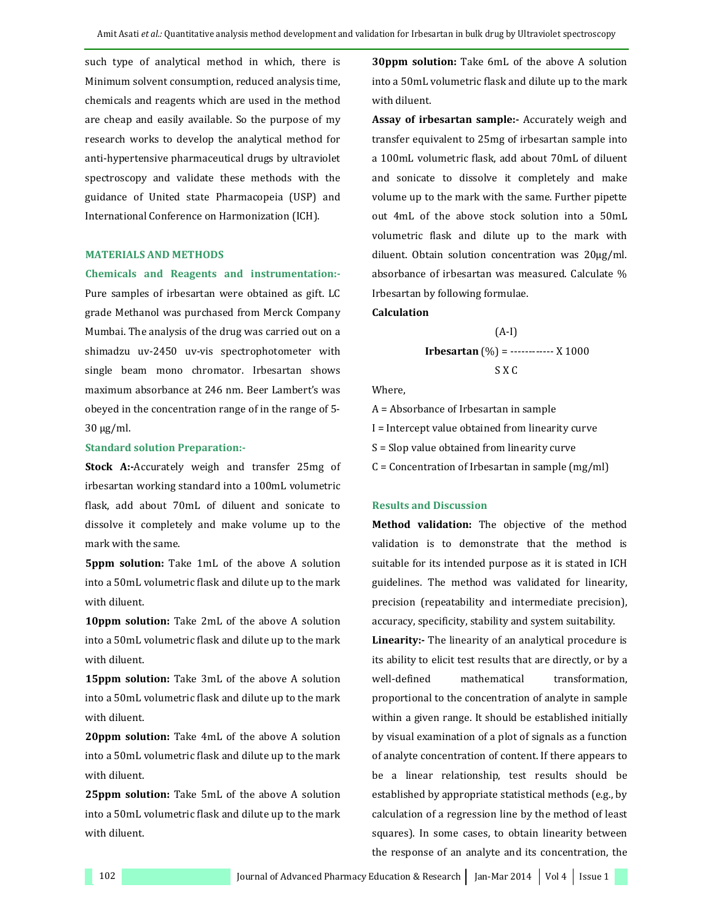such type of analytical method in which, there is Minimum solvent consumption, reduced analysis time, chemicals and reagents which are used in the method are cheap and easily available. So the purpose of my research works to develop the analytical method for anti-hypertensive pharmaceutical drugs by ultraviolet spectroscopy and validate these methods with the guidance of United state Pharmacopeia (USP) and International Conference on Harmonization (ICH).

#### MATERIALS AND METHODS

#### Chemicals and Reagents and instrumentation:-

Pure samples of irbesartan were obtained as gift. LC grade Methanol was purchased from Merck Company Mumbai. The analysis of the drug was carried out on a shimadzu uv-2450 uv-vis spectrophotometer with single beam mono chromator. Irbesartan shows maximum absorbance at 246 nm. Beer Lambert's was obeyed in the concentration range of in the range of 5- 30 µg/ml.

#### Standard solution Preparation:-

Stock A:-Accurately weigh and transfer 25mg of irbesartan working standard into a 100mL volumetric flask, add about 70mL of diluent and sonicate to dissolve it completely and make volume up to the mark with the same.

5ppm solution: Take 1mL of the above A solution into a 50mL volumetric flask and dilute up to the mark with diluent.

10ppm solution: Take 2mL of the above A solution into a 50mL volumetric flask and dilute up to the mark with diluent.

15ppm solution: Take 3mL of the above A solution into a 50mL volumetric flask and dilute up to the mark with diluent.

20ppm solution: Take 4mL of the above A solution into a 50mL volumetric flask and dilute up to the mark with diluent.

25ppm solution: Take 5mL of the above A solution into a 50mL volumetric flask and dilute up to the mark with diluent.

30ppm solution: Take 6mL of the above A solution into a 50mL volumetric flask and dilute up to the mark with diluent.

Assay of irbesartan sample:- Accurately weigh and transfer equivalent to 25mg of irbesartan sample into a 100mL volumetric flask, add about 70mL of diluent and sonicate to dissolve it completely and make volume up to the mark with the same. Further pipette out 4mL of the above stock solution into a 50mL volumetric flask and dilute up to the mark with diluent. Obtain solution concentration was 20μg/ml. absorbance of irbesartan was measured. Calculate % Irbesartan by following formulae.

## Calculation

$$
(A-I)
$$
  
**Irbesartan** (%) = 3.1000  
S X C

Where,

A = Absorbance of Irbesartan in sample I = Intercept value obtained from linearity curve S = Slop value obtained from linearity curve  $C =$  Concentration of Irbesartan in sample (mg/ml)

#### Results and Discussion

Method validation: The objective of the method validation is to demonstrate that the method is suitable for its intended purpose as it is stated in ICH guidelines. The method was validated for linearity, precision (repeatability and intermediate precision), accuracy, specificity, stability and system suitability.

Linearity:- The linearity of an analytical procedure is its ability to elicit test results that are directly, or by a well-defined mathematical transformation, proportional to the concentration of analyte in sample within a given range. It should be established initially by visual examination of a plot of signals as a function of analyte concentration of content. If there appears to be a linear relationship, test results should be established by appropriate statistical methods (e.g., by calculation of a regression line by the method of least squares). In some cases, to obtain linearity between the response of an analyte and its concentration, the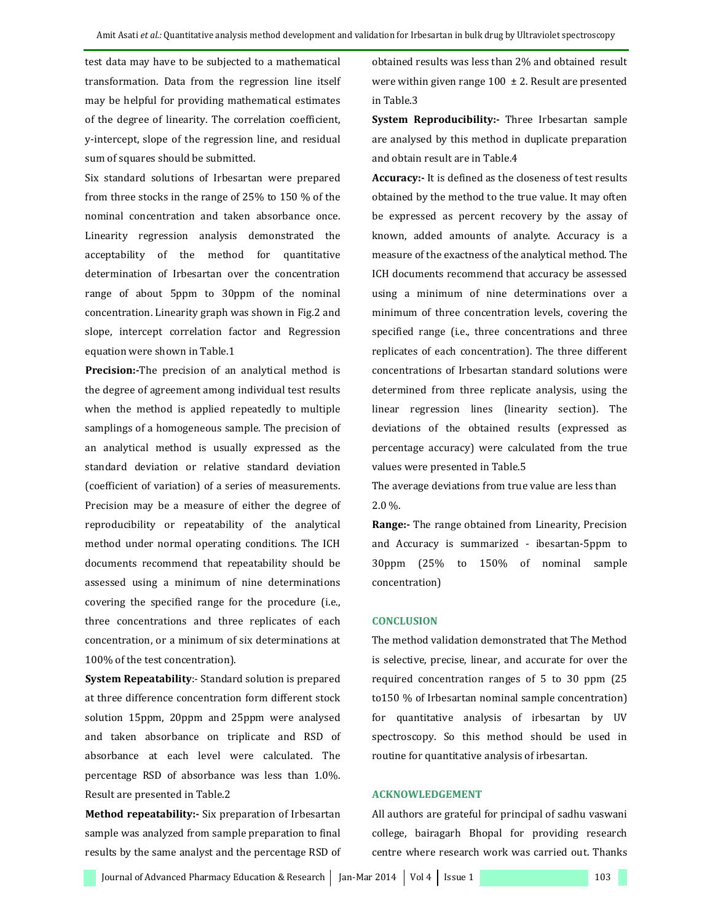test data may have to be subjected to a mathematical transformation. Data from the regression line itself may be helpful for providing mathematical estimates of the degree of linearity. The correlation coefficient, y-intercept, slope of the regression line, and residual sum of squares should be submitted.

Six standard solutions of Irbesartan were prepared from three stocks in the range of 25% to 150 % of the nominal concentration and taken absorbance once. Linearity regression analysis demonstrated the acceptability of the method for quantitative determination of Irbesartan over the concentration range of about 5ppm to 30ppm of the nominal concentration. Linearity graph was shown in Fig.2 and slope, intercept correlation factor and Regression equation were shown in Table.1

Precision:-The precision of an analytical method is the degree of agreement among individual test results when the method is applied repeatedly to multiple samplings of a homogeneous sample. The precision of an analytical method is usually expressed as the standard deviation or relative standard deviation (coefficient of variation) of a series of measurements. Precision may be a measure of either the degree of reproducibility or repeatability of the analytical method under normal operating conditions. The ICH documents recommend that repeatability should be assessed using a minimum of nine determinations covering the specified range for the procedure (i.e., three concentrations and three replicates of each concentration, or a minimum of six determinations at 100% of the test concentration).

System Repeatability: - Standard solution is prepared at three difference concentration form different stock solution 15ppm, 20ppm and 25ppm were analysed and taken absorbance on triplicate and RSD of absorbance at each level were calculated. The percentage RSD of absorbance was less than 1.0%. Result are presented in Table.2

Method repeatability: Six preparation of Irbesartan sample was analyzed from sample preparation to final results by the same analyst and the percentage RSD of

obtained results was less than 2% and obtained result were within given range  $100 \pm 2$ . Result are presented in Table.3

System Reproducibility:- Three Irbesartan sample are analysed by this method in duplicate preparation and obtain result are in Table.4

Accuracy:- It is defined as the closeness of test results obtained by the method to the true value. It may often be expressed as percent recovery by the assay of known, added amounts of analyte. Accuracy is a measure of the exactness of the analytical method. The ICH documents recommend that accuracy be assessed using a minimum of nine determinations over a minimum of three concentration levels, covering the specified range (i.e., three concentrations and three replicates of each concentration). The three different concentrations of Irbesartan standard solutions were determined from three replicate analysis, using the linear regression lines (linearity section). The deviations of the obtained results (expressed as percentage accuracy) were calculated from the true values were presented in Table.5

The average deviations from true value are less than 2.0 %.

Range:- The range obtained from Linearity, Precision and Accuracy is summarized - ibesartan-5ppm to 30ppm (25% to 150% of nominal sample concentration)

#### **CONCLUSION**

The method validation demonstrated that The Method is selective, precise, linear, and accurate for over the required concentration ranges of 5 to 30 ppm (25 to150 % of Irbesartan nominal sample concentration) for quantitative analysis of irbesartan by UV spectroscopy. So this method should be used in routine for quantitative analysis of irbesartan.

### ACKNOWLEDGEMENT

All authors are grateful for principal of sadhu vaswani college, bairagarh Bhopal for providing research centre where research work was carried out. Thanks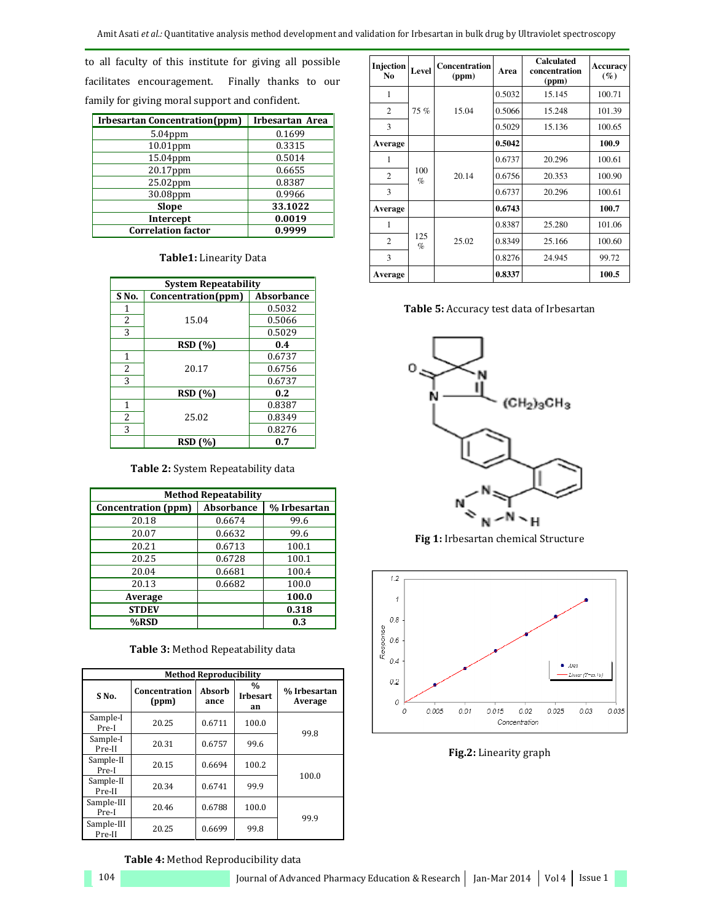to all faculty of this institute for giving all possible facilitates encouragement. Finally thanks to our family for giving moral support and confident.

| <b>Irbesartan Concentration (ppm)</b> | Irbesartan Area |
|---------------------------------------|-----------------|
| $5.04$ ppm                            | 0.1699          |
| $10.01$ ppm                           | 0.3315          |
| 15.04ppm                              | 0.5014          |
| 20.17ppm                              | 0.6655          |
| 25.02ppm                              | 0.8387          |
| 30.08ppm                              | 0.9966          |
| Slope                                 | 33.1022         |
| Intercept                             | 0.0019          |
| <b>Correlation factor</b>             | 0.9999          |

#### Table1: Linearity Data

| <b>System Repeatability</b> |                    |                   |  |  |  |
|-----------------------------|--------------------|-------------------|--|--|--|
| S <sub>No.</sub>            | Concentration(ppm) | <b>Absorbance</b> |  |  |  |
| 1                           |                    | 0.5032            |  |  |  |
| 2                           | 15.04              | 0.5066            |  |  |  |
| 3                           |                    | 0.5029            |  |  |  |
|                             | <b>RSD</b> (%)     | 0.4               |  |  |  |
| 1                           | 20.17              | 0.6737            |  |  |  |
| 2                           |                    | 0.6756            |  |  |  |
| 3                           |                    | 0.6737            |  |  |  |
|                             | <b>RSD</b> (%)     | 0.2               |  |  |  |
| 1                           |                    | 0.8387            |  |  |  |
| 2                           | 25.02              | 0.8349            |  |  |  |
| 3                           |                    | 0.8276            |  |  |  |
|                             | <b>RSD</b> (%)     | 0.7               |  |  |  |

Table 2: System Repeatability data

| <b>Method Repeatability</b> |                   |              |  |  |  |  |
|-----------------------------|-------------------|--------------|--|--|--|--|
| Concentration (ppm)         | <b>Absorbance</b> | % Irbesartan |  |  |  |  |
| 20.18                       | 0.6674            | 99.6         |  |  |  |  |
| 20.07                       | 0.6632            | 99.6         |  |  |  |  |
| 20.21                       | 0.6713            | 100.1        |  |  |  |  |
| 20.25                       | 0.6728            | 100.1        |  |  |  |  |
| 20.04                       | 0.6681            | 100.4        |  |  |  |  |
| 20.13                       | 0.6682            | 100.0        |  |  |  |  |
| Average                     |                   | 100.0        |  |  |  |  |
| <b>STDEV</b>                |                   | 0.318        |  |  |  |  |
| %RSD                        |                   | 0.3          |  |  |  |  |

|  | Table 3: Method Repeatability data |
|--|------------------------------------|
|--|------------------------------------|

| <b>Method Reproducibility</b> |                        |                |                               |                         |  |  |
|-------------------------------|------------------------|----------------|-------------------------------|-------------------------|--|--|
| S <sub>No.</sub>              | Concentration<br>(ppm) | Absorb<br>ance | $\%$<br><b>Irbesart</b><br>an | % Irbesartan<br>Average |  |  |
| Sample-I<br>Pre-I             | 20.25                  | 0.6711         | 100.0                         | 99.8                    |  |  |
| Sample-I<br>Pre-II            | 20.31                  | 0.6757         | 99.6                          |                         |  |  |
| Sample-II<br>Pre-I            | 20.15                  | 0.6694         | 100.2                         | 100.0                   |  |  |
| Sample-II<br>Pre-II           | 20.34                  | 0.6741         | 99.9                          |                         |  |  |
| Sample-III<br>Pre-I           | 20.46                  | 0.6788         | 100.0                         | 99.9                    |  |  |
| Sample-III<br>Pre-II          | 20.25                  | 0.6699         | 99.8                          |                         |  |  |

Table 4: Method Reproducibility data

**Injection Level Concentration (ppm) Area Calculated concentration (ppm) Accuracy (%)**  1 75 % 15.04 0.5032 15.145 100.71 2 | 75 % | 15.04 | 0.5066 | 15.248 | 101.39 3 0.5029 15.136 100.65 **Average** 100.9 1 100  $\frac{100}{\%}$  20.14 0.6737 20.296 100.61 2  $\begin{array}{|c|c|c|c|c|c|c|c|} \hline 20.14 & 0.6756 & 20.353 & 100.90 \ \hline \end{array}$ 3 0.6737 20.296 100.61 **Average** 100.7 1 125  $\frac{125}{\%}$  25.02 0.8387 25.280 101.06 2  $\begin{array}{|c|c|c|c|c|c|c|c|} \hline 125 & 25.02 & 0.8349 & 25.166 & 100.60 \hline \end{array}$ 3 0.8276 24.945 99.72 **Average 100.5 100.5** 





Fig 1: Irbesartan chemical Structure



Fig.2: Linearity graph